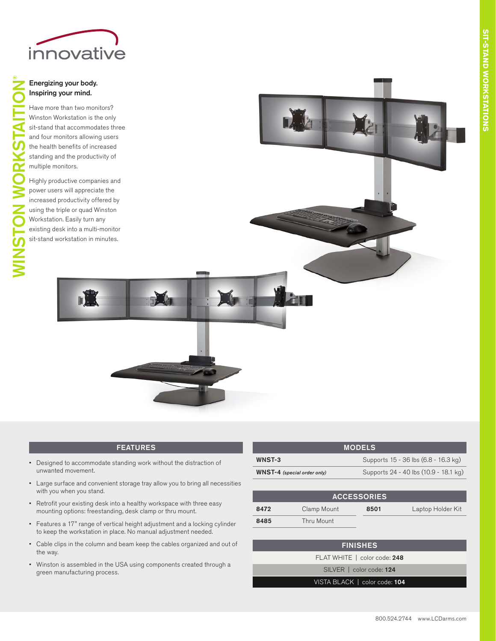

## Energizing your body. Inspiring your mind.

WINSTON WORKSTAITION

®

Have more than two monitors? Winston Workstation is the only sit-stand that accommodates three and four monitors allowing users the health benefits of increased standing and the productivity of multiple monitors.

Highly productive companies and power users will appreciate the increased productivity offered by using the triple or quad Winston Workstation. Easily turn any existing desk into a multi-monitor sit-stand workstation in minutes.

D.



## FEATURES

- • Designed to accommodate standing work without the distraction of unwanted movement.
- • Large surface and convenient storage tray allow you to bring all necessities with you when you stand.
- • Retrofit your existing desk into a healthy workspace with three easy mounting options: freestanding, desk clamp or thru mount.
- • Features a 17" range of vertical height adjustment and a locking cylinder to keep the workstation in place. No manual adjustment needed.
- Cable clips in the column and beam keep the cables organized and out of the way.
- • Winston is assembled in the USA using components created through a green manufacturing process.

| <b>MODELS</b>                      |                                       |  |  |
|------------------------------------|---------------------------------------|--|--|
| <b>WNST-3</b>                      | Supports 15 - 36 lbs (6.8 - 16.3 kg)  |  |  |
| <b>WNST-4</b> (special order only) | Supports 24 - 40 lbs (10.9 - 18.1 kg) |  |  |
|                                    |                                       |  |  |

| <b>ACCESSORIES</b> |             |      |                   |  |
|--------------------|-------------|------|-------------------|--|
| 8472               | Clamp Mount | 8501 | Laptop Holder Kit |  |
| 8485               | Thru Mount  |      |                   |  |

## FINISHES

FLAT WHITE | color code: 248

SILVER | color code: 124

## VISTA BLACK | color code: 104